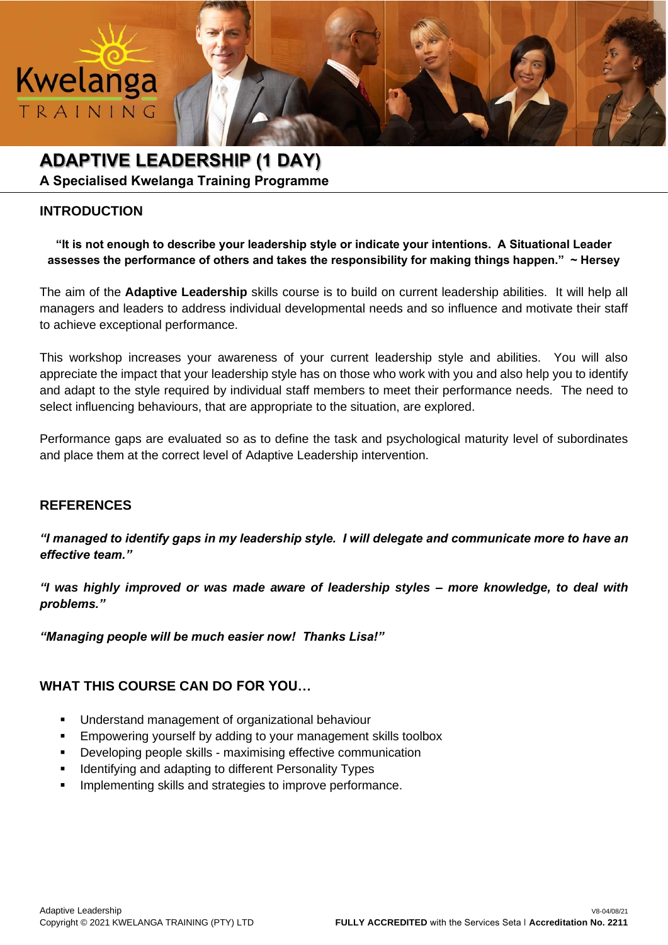

**A Specialised Kwelanga Training Programme**

## **INTRODUCTION**

Kwelanga

TRAINING

**"It is not enough to describe your leadership style or indicate your intentions. A Situational Leader assesses the performance of others and takes the responsibility for making things happen." ~ Hersey**

The aim of the **Adaptive Leadership** skills course is to build on current leadership abilities. It will help all managers and leaders to address individual developmental needs and so influence and motivate their staff to achieve exceptional performance.

This workshop increases your awareness of your current leadership style and abilities. You will also appreciate the impact that your leadership style has on those who work with you and also help you to identify and adapt to the style required by individual staff members to meet their performance needs. The need to select influencing behaviours, that are appropriate to the situation, are explored.

Performance gaps are evaluated so as to define the task and psychological maturity level of subordinates and place them at the correct level of Adaptive Leadership intervention.

### **REFERENCES**

*"I managed to identify gaps in my leadership style. I will delegate and communicate more to have an effective team."*

*"I was highly improved or was made aware of leadership styles – more knowledge, to deal with problems."*

*"Managing people will be much easier now! Thanks Lisa!"*

## **WHAT THIS COURSE CAN DO FOR YOU…**

- Understand management of organizational behaviour
- Empowering yourself by adding to your management skills toolbox
- Developing people skills maximising effective communication
- Identifying and adapting to different Personality Types
- Implementing skills and strategies to improve performance.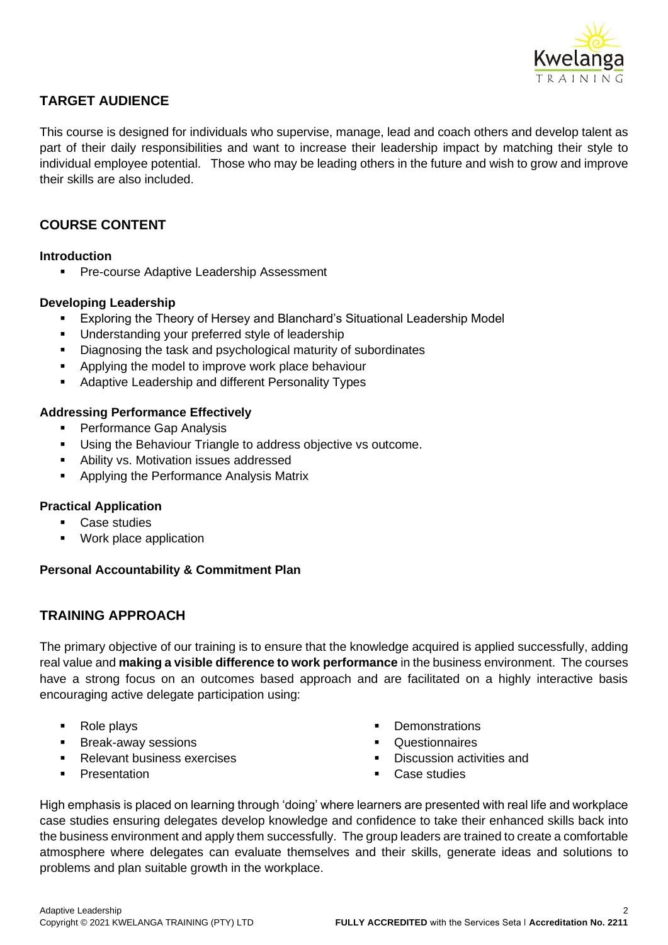

## **TARGET AUDIENCE**

This course is designed for individuals who supervise, manage, lead and coach others and develop talent as part of their daily responsibilities and want to increase their leadership impact by matching their style to individual employee potential. Those who may be leading others in the future and wish to grow and improve their skills are also included.

## **COURSE CONTENT**

#### **Introduction**

**• Pre-course Adaptive Leadership Assessment** 

#### **Developing Leadership**

- Exploring the Theory of Hersey and Blanchard's Situational Leadership Model
- Understanding your preferred style of leadership
- Diagnosing the task and psychological maturity of subordinates
- Applying the model to improve work place behaviour
- Adaptive Leadership and different Personality Types

#### **Addressing Performance Effectively**

- **Performance Gap Analysis**
- Using the Behaviour Triangle to address objective vs outcome.
- Ability vs. Motivation issues addressed
- Applying the Performance Analysis Matrix

#### **Practical Application**

- Case studies
- Work place application

#### **Personal Accountability & Commitment Plan**

### **TRAINING APPROACH**

The primary objective of our training is to ensure that the knowledge acquired is applied successfully, adding real value and **making a visible difference to work performance** in the business environment. The courses have a strong focus on an outcomes based approach and are facilitated on a highly interactive basis encouraging active delegate participation using:

- Role plays
- **Break-away sessions**
- **Relevant business exercises**
- Presentation
- **Demonstrations**
- **Questionnaires**
- Discussion activities and
- Case studies

High emphasis is placed on learning through 'doing' where learners are presented with real life and workplace case studies ensuring delegates develop knowledge and confidence to take their enhanced skills back into the business environment and apply them successfully. The group leaders are trained to create a comfortable atmosphere where delegates can evaluate themselves and their skills, generate ideas and solutions to problems and plan suitable growth in the workplace.